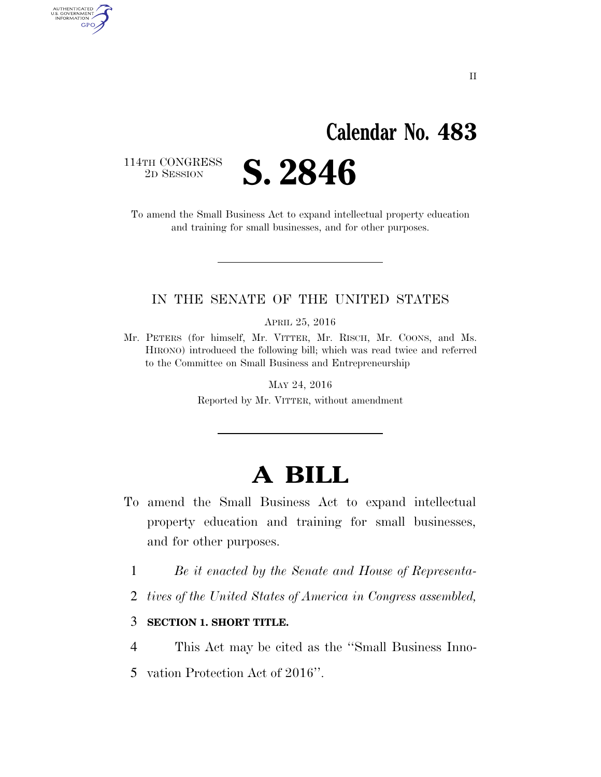## **Calendar No. 483**

114TH CONGRESS<br>2D SESSION

AUTHENTICATED<br>U.S. GOVERNMENT<br>INFORMATION GPO

2D SESSION **S. 2846** 

To amend the Small Business Act to expand intellectual property education and training for small businesses, and for other purposes.

#### IN THE SENATE OF THE UNITED STATES

APRIL 25, 2016

Mr. PETERS (for himself, Mr. VITTER, Mr. RISCH, Mr. COONS, and Ms. HIRONO) introduced the following bill; which was read twice and referred to the Committee on Small Business and Entrepreneurship

MAY 24, 2016

Reported by Mr. VITTER, without amendment

## **A BILL**

- To amend the Small Business Act to expand intellectual property education and training for small businesses, and for other purposes.
	- 1 *Be it enacted by the Senate and House of Representa-*
	- 2 *tives of the United States of America in Congress assembled,*

#### 3 **SECTION 1. SHORT TITLE.**

4 This Act may be cited as the ''Small Business Inno-

5 vation Protection Act of 2016''.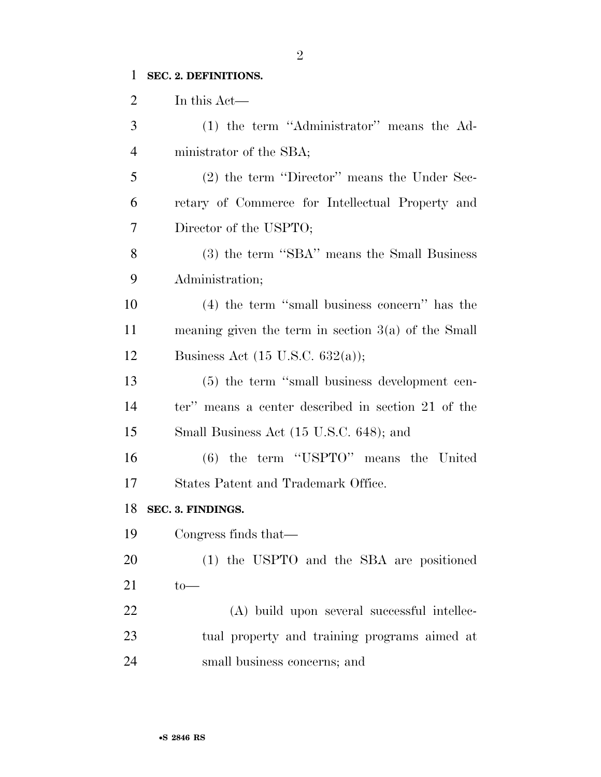### **SEC. 2. DEFINITIONS.**

| $\overline{2}$ | In this Act—                                          |
|----------------|-------------------------------------------------------|
| 3              | (1) the term "Administrator" means the Ad-            |
| $\overline{4}$ | ministrator of the SBA;                               |
| 5              | (2) the term "Director" means the Under Sec-          |
| 6              | retary of Commerce for Intellectual Property and      |
| 7              | Director of the USPTO;                                |
| 8              | (3) the term "SBA" means the Small Business           |
| 9              | Administration;                                       |
| 10             | $(4)$ the term "small business concern" has the       |
| 11             | meaning given the term in section $3(a)$ of the Small |
| 12             | Business Act $(15 \text{ U.S.C. } 632(a));$           |
| 13             | (5) the term "small business development cen-         |
| 14             | ter" means a center described in section 21 of the    |
| 15             | Small Business Act (15 U.S.C. 648); and               |
| 16             | $(6)$ the term "USPTO" means the United               |
| 17             | States Patent and Trademark Office.                   |
| 18             | SEC. 3. FINDINGS.                                     |
| 19             | Congress finds that—                                  |
| 20             | (1) the USPTO and the SBA are positioned              |
| 21             | $to-$                                                 |
| 22             | (A) build upon several successful intellec-           |
| 23             | tual property and training programs aimed at          |
| 24             | small business concerns; and                          |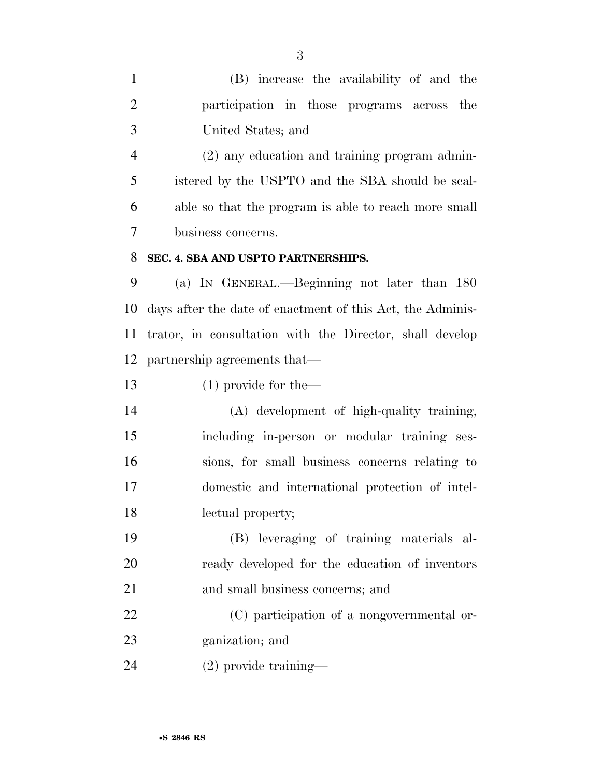(B) increase the availability of and the participation in those programs across the United States; and

 (2) any education and training program admin- istered by the USPTO and the SBA should be scal- able so that the program is able to reach more small business concerns.

#### **SEC. 4. SBA AND USPTO PARTNERSHIPS.**

 (a) IN GENERAL.—Beginning not later than 180 days after the date of enactment of this Act, the Adminis- trator, in consultation with the Director, shall develop partnership agreements that—

(1) provide for the—

 (A) development of high-quality training, including in-person or modular training ses- sions, for small business concerns relating to domestic and international protection of intel-lectual property;

 (B) leveraging of training materials al- ready developed for the education of inventors and small business concerns; and

 (C) participation of a nongovernmental or-ganization; and

(2) provide training—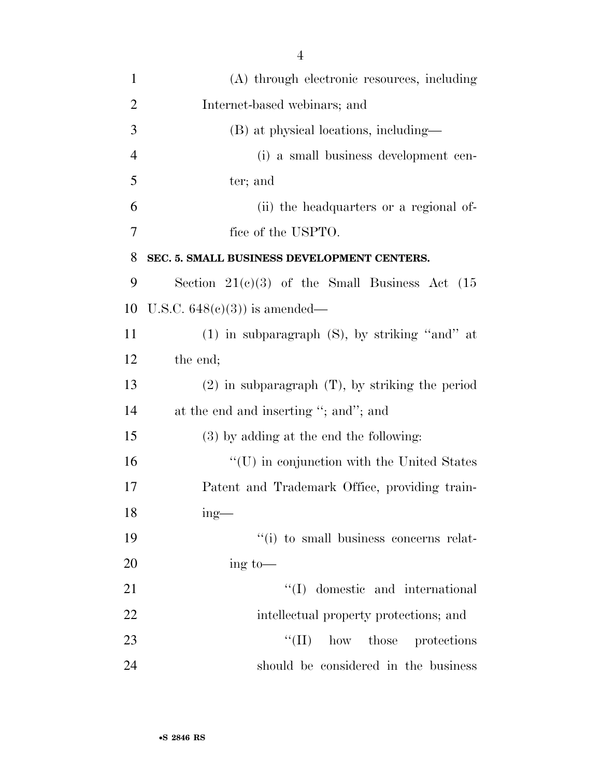| $\mathbf{1}$   | (A) through electronic resources, including          |
|----------------|------------------------------------------------------|
| $\overline{2}$ | Internet-based webinars; and                         |
| 3              | (B) at physical locations, including—                |
| $\overline{4}$ | (i) a small business development cen-                |
| 5              | ter; and                                             |
| 6              | (ii) the headquarters or a regional of-              |
| 7              | fice of the USPTO.                                   |
| 8              | SEC. 5. SMALL BUSINESS DEVELOPMENT CENTERS.          |
| 9              | Section $21(c)(3)$ of the Small Business Act (15     |
| 10             | U.S.C. $648(e)(3)$ is amended—                       |
| 11             | $(1)$ in subparagraph $(S)$ , by striking "and" at   |
| 12             | the end;                                             |
| 13             | $(2)$ in subparagraph $(T)$ , by striking the period |
| 14             | at the end and inserting "; and"; and                |
| 15             | $(3)$ by adding at the end the following:            |
| 16             | "(U) in conjunction with the United States           |
| 17             | Patent and Trademark Office, providing train-        |
| 18             | $mg -$                                               |
| 19             | "(i) to small business concerns relat-               |
| 20             | $\frac{1}{2}$ ing to —                               |
| 21             | "(I) domestic and international                      |
| 22             | intellectual property protections; and               |
| 23             | ``(II)<br>how those<br>protections                   |
| 24             | should be considered in the business                 |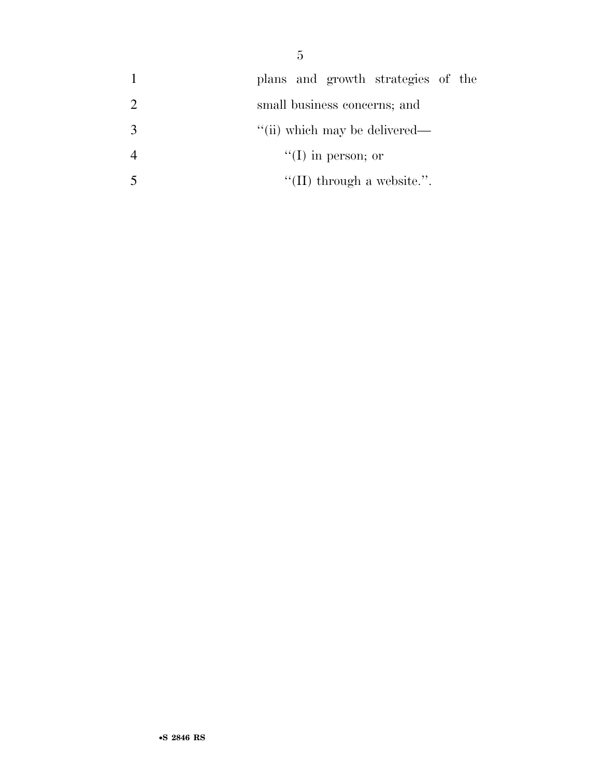1 plans and growth strategies of the 2 small business concerns; and 3 ''(ii) which may be delivered— 4  $''(I)$  in person; or  $\mathfrak{S}$  ''(II) through a website.''.